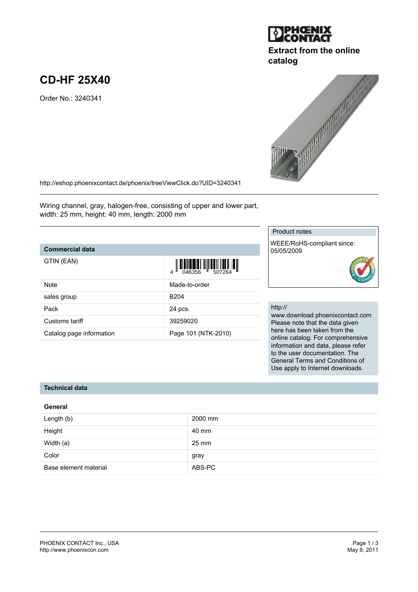# **CD-HF 25X40**

Order No.: 3240341

<http://eshop.phoenixcontact.de/phoenix/treeViewClick.do?UID=3240341>

Wiring channel, gray, halogen-free, consisting of upper and lower part, width: 25 mm, height: 40 mm, length: 2000 mm

## **Commercial data**

| <b>Note</b>              | Made-to-order       |
|--------------------------|---------------------|
| sales group              | B <sub>204</sub>    |
| Pack                     | 24 pcs.             |
| Customs tariff           | 39259020            |
| Catalog page information | Page 101 (NTK-2010) |

#### Product notes

WEEE/RoHS-compliant since: 05/05/2009

#### http://

www.download.phoenixcontact.com Please note that the data given here has been taken from the online catalog. For comprehensive information and data, please refer to the user documentation. The General Terms and Conditions of Use apply to Internet downloads.

## **Technical data**

| General               |         |  |
|-----------------------|---------|--|
| Length (b)            | 2000 mm |  |
| Height                | 40 mm   |  |
| Width (a)             | 25 mm   |  |
| Color                 | gray    |  |
| Base element material | ABS-PC  |  |



**catalog**



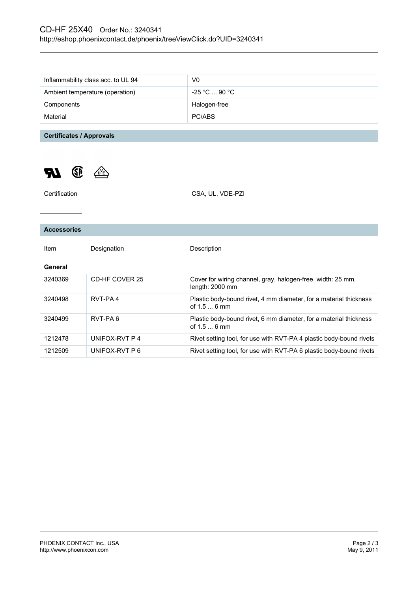# CD-HF 25X40 Order No.: 3240341 <http://eshop.phoenixcontact.de/phoenix/treeViewClick.do?UID=3240341>

| Inflammability class acc. to UL 94 | V0                           |
|------------------------------------|------------------------------|
| Ambient temperature (operation)    | $-25$ °C $\ldots$ 90 °C $\,$ |
| Components                         | Halogen-free                 |
| Material                           | PC/ABS                       |

**Certificates / Approvals**



| Certification      |                | CSA, UL, VDE-PZI                                                                  |
|--------------------|----------------|-----------------------------------------------------------------------------------|
|                    |                |                                                                                   |
| <b>Accessories</b> |                |                                                                                   |
| Item               | Designation    | Description                                                                       |
| General            |                |                                                                                   |
| 3240369            | CD-HF COVER 25 | Cover for wiring channel, gray, halogen-free, width: 25 mm,<br>length: 2000 mm    |
| 3240498            | RVT-PA4        | Plastic body-bound rivet, 4 mm diameter, for a material thickness<br>of $1.56$ mm |
| 3240499            | RVT-PA6        | Plastic body-bound rivet, 6 mm diameter, for a material thickness<br>of $1.56$ mm |
| 1212478            | UNIFOX-RVT P 4 | Rivet setting tool, for use with RVT-PA 4 plastic body-bound rivets               |
| 1212509            | UNIFOX-RVT P 6 | Rivet setting tool, for use with RVT-PA 6 plastic body-bound rivets               |